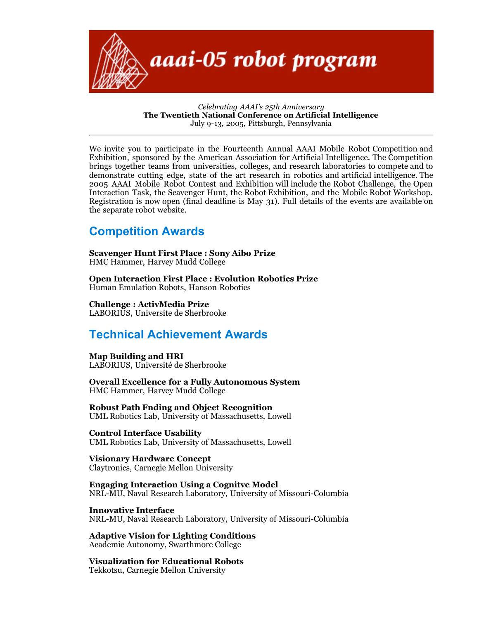

*Celebrating AAAI's 25th Anniversary* **The Twentieth National Conference on Artificial Intelligence** July 9-13, 2005, Pittsburgh, Pennsylvania

We invite you to participate in the Fourteenth Annual AAAI Mobile Robot Competition and Exhibition, sponsored by the American Association for Artificial Intelligence. The Competition brings together teams from universities, colleges, and research laboratories to compete and to demonstrate cutting edge, state of the art research in robotics and artificial intelligence. The 2005 AAAI Mobile Robot Contest and Exhibition will include the Robot Challenge, the Open Interaction Task, the Scavenger Hunt, the Robot Exhibition, and the Mobile Robot Workshop. Registration is now open (final deadline is May 31). Full details of the events are available on the separate robot website.

## **Competition Awards**

**Scavenger Hunt First Place : Sony Aibo Prize** HMC Hammer, Harvey Mudd College

**Open Interaction First Place : Evolution Robotics Prize** Human Emulation Robots, Hanson Robotics

**Challenge : ActivMedia Prize** LABORIUS, Universite de Sherbrooke

## **Technical Achievement Awards**

#### **Map Building and HRI**

LABORIUS, Université de Sherbrooke

**Overall Excellence for a Fully Autonomous System** HMC Hammer, Harvey Mudd College

**Robust Path Fnding and Object Recognition** UML Robotics Lab, University of Massachusetts, Lowell

**Control Interface Usability** UML Robotics Lab, University of Massachusetts, Lowell

**Visionary Hardware Concept** Claytronics, Carnegie Mellon University

**Engaging Interaction Using a Cognitve Model** NRL-MU, Naval Research Laboratory, University of Missouri-Columbia

**Innovative Interface** NRL-MU, Naval Research Laboratory, University of Missouri-Columbia

**Adaptive Vision for Lighting Conditions** Academic Autonomy, Swarthmore College

**Visualization for Educational Robots** Tekkotsu, Carnegie Mellon University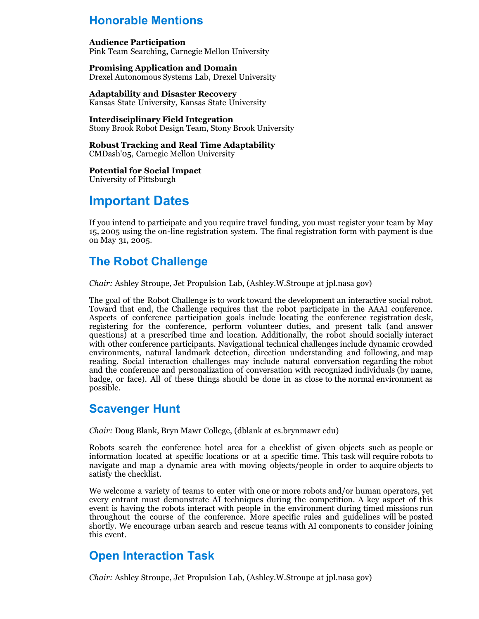## **Honorable Mentions**

#### **Audience Participation**

Pink Team Searching, Carnegie Mellon University

**Promising Application and Domain** Drexel Autonomous Systems Lab, Drexel University

**Adaptability and Disaster Recovery** Kansas State University, Kansas State University

**Interdisciplinary Field Integration**

Stony Brook Robot Design Team, Stony Brook University

**Robust Tracking and Real Time Adaptability** CMDash'05, Carnegie Mellon University

**Potential for Social Impact** University of Pittsburgh

# **Important Dates**

If you intend to participate and you require travel funding, you must register your team by May 15, 2005 using the on-line registration system. The final registration form with payment is due on May 31, 2005.

## **The Robot Challenge**

*Chair:* Ashley Stroupe, Jet Propulsion Lab, (Ashley.W.Stroupe at jpl.nasa gov)

The goal of the Robot Challenge is to work toward the development an interactive social robot. Toward that end, the Challenge requires that the robot participate in the AAAI conference. Aspects of conference participation goals include locating the conference registration desk, registering for the conference, perform volunteer duties, and present talk (and answer questions) at a prescribed time and location. Additionally, the robot should socially interact with other conference participants. Navigational technical challenges include dynamic crowded environments, natural landmark detection, direction understanding and following, and map reading. Social interaction challenges may include natural conversation regarding the robot and the conference and personalization of conversation with recognized individuals (by name, badge, or face). All of these things should be done in as close to the normal environment as possible.

## **Scavenger Hunt**

*Chair:* Doug Blank, Bryn Mawr College, (dblank at cs.brynmawr edu)

Robots search the conference hotel area for a checklist of given objects such as people or information located at specific locations or at a specific time. This task will require robots to navigate and map a dynamic area with moving objects/people in order to acquire objects to satisfy the checklist.

We welcome a variety of teams to enter with one or more robots and/or human operators, yet every entrant must demonstrate AI techniques during the competition. A key aspect of this event is having the robots interact with people in the environment during timed missions run throughout the course of the conference. More specific rules and guidelines will be posted shortly. We encourage urban search and rescue teams with AI components to consider joining this event.

## **Open Interaction Task**

*Chair:* Ashley Stroupe, Jet Propulsion Lab, (Ashley.W.Stroupe at jpl.nasa gov)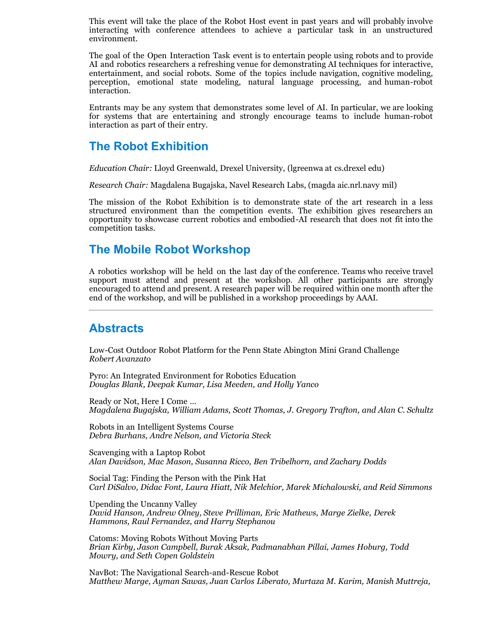This event will take the place of the Robot Host event in past years and will probably involve interacting with conference attendees to achieve a particular task in an unstructured environment.

The goal of the Open Interaction Task event is to entertain people using robots and to provide AI and robotics researchers a refreshing venue for demonstrating AI techniques for interactive, entertainment, and social robots. Some of the topics include navigation, cognitive modeling, perception, emotional state modeling, natural language processing, and human-robot interaction.

Entrants may be any system that demonstrates some level of AI. In particular, we are looking for systems that are entertaining and strongly encourage teams to include human-robot interaction as part of their entry.

#### **The Robot Exhibition**

*Education Chair:* Lloyd Greenwald, Drexel University, (lgreenwa at cs.drexel edu)

*Research Chair:* Magdalena Bugajska, Navel Research Labs, (magda aic.nrl.navy mil)

The mission of the Robot Exhibition is to demonstrate state of the art research in a less structured environment than the competition events. The exhibition gives researchers an opportunity to showcase current robotics and embodied-AI research that does not fit into the competition tasks.

#### **The Mobile Robot Workshop**

A robotics workshop will be held on the last day of the conference. Teams who receive travel support must attend and present at the workshop. All other participants are strongly encouraged to attend and present. A research paper will be required within one month after the end of the workshop, and will be published in a workshop proceedings by AAAI.

#### **Abstracts**

Low-Cost Outdoor Robot Platform for the Penn State Abington Mini Grand Challenge *Robert Avanzato*

Pyro: An Integrated Environment for Robotics Education *Douglas Blank, Deepak Kumar, Lisa Meeden, and Holly Yanco*

Ready or Not, Here I Come ... *Magdalena Bugajska, William Adams, Scott Thomas, J. Gregory Trafton, and Alan C. Schultz*

Robots in an Intelligent Systems Course *Debra Burhans, Andre Nelson, and Victoria Steck*

Scavenging with a Laptop Robot *Alan Davidson, Mac Mason, Susanna Ricco, Ben Tribelhorn, and Zachary Dodds*

Social Tag: Finding the Person with the Pink Hat *Carl DiSalvo, Didac Font, Laura Hiatt, Nik Melchior, Marek Michalowski, and Reid Simmons*

Upending the Uncanny Valley *David Hanson, Andrew Olney, Steve Prilliman, Eric Mathews, Marge Zielke, Derek Hammons, Raul Fernandez, and Harry Stephanou*

Catoms: Moving Robots Without Moving Parts *Brian Kirby, Jason Campbell, Burak Aksak, Padmanabhan Pillai, James Hoburg, Todd Mowry, and Seth Copen Goldstein*

NavBot: The Navigational Search-and-Rescue Robot *Matthew Marge, Ayman Sawas, Juan Carlos Liberato, Murtaza M. Karim, Manish Muttreja,*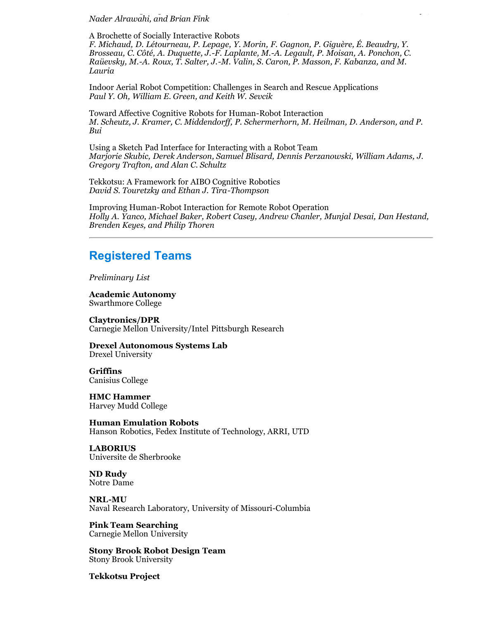*Nader Alrawahi, and Brian Fink*

A Brochette of Socially Interactive Robots *F. Michaud, D. Létourneau, P. Lepage, Y. Morin, F. Gagnon, P. Giguère, É. Beaudry, Y. Brosseau, C. Côté, A. Duquette, J.-F. Laplante, M.-A. Legault, P. Moisan, A. Ponchon, C. Raüevsky, M.-A. Roux, T. Salter, J.-M. Valin, S. Caron, P. Masson, F. Kabanza, and M. Lauria*

*Matthew Marge, Ayman Sawas, Juan Carlos Liberato, Murtaza M. Karim, Manish Muttreja,*

Indoor Aerial Robot Competition: Challenges in Search and Rescue Applications *Paul Y. Oh, William E. Green, and Keith W. Sevcik*

Toward Affective Cognitive Robots for Human-Robot Interaction *M. Scheutz, J. Kramer, C. Middendorff, P. Schermerhorn, M. Heilman, D. Anderson, and P. Bui*

Using a Sketch Pad Interface for Interacting with a Robot Team *Marjorie Skubic, Derek Anderson, Samuel Blisard, Dennis Perzanowski, William Adams, J. Gregory Trafton, and Alan C. Schultz*

Tekkotsu: A Framework for AIBO Cognitive Robotics *David S. Touretzky and Ethan J. Tira-Thompson*

Improving Human-Robot Interaction for Remote Robot Operation *Holly A. Yanco, Michael Baker, Robert Casey, Andrew Chanler, Munjal Desai, Dan Hestand, Brenden Keyes, and Philip Thoren*

#### **Registered Teams**

*Preliminary List*

**Academic Autonomy** Swarthmore College

**Claytronics/DPR** Carnegie Mellon University/Intel Pittsburgh Research

**Drexel Autonomous Systems Lab** Drexel University

**Griffins** Canisius College

**HMC Hammer** Harvey Mudd College

**Human Emulation Robots** Hanson Robotics, Fedex Institute of Technology, ARRI, UTD

**LABORIUS** Universite de Sherbrooke

**ND Rudy** Notre Dame

**NRL-MU** Naval Research Laboratory, University of Missouri-Columbia

**Pink Team Searching** Carnegie Mellon University

**Stony Brook Robot Design Team** Stony Brook University

**Tekkotsu Project**